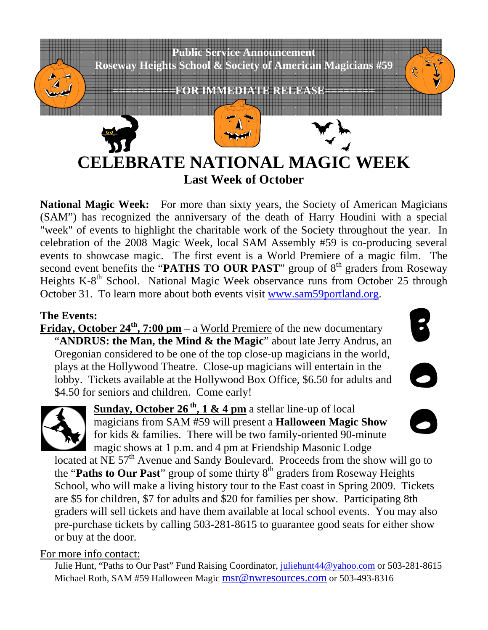

**National Magic Week:** For more than sixty years, the Society of American Magicians (SAM") has recognized the anniversary of the death of Harry Houdini with a special "week" of events to highlight the charitable work of the Society throughout the year. In celebration of the 2008 Magic Week, local SAM Assembly #59 is co-producing several events to showcase magic. The first event is a World Premiere of a magic film. The second event benefits the "**PATHS TO OUR PAST**" group of 8<sup>th</sup> graders from Roseway Heights K-8<sup>th</sup> School. National Magic Week observance runs from October 25 through October 31. To learn more about both events visit www.sam59portland.org.

#### **The Events:**

**Friday, October 24<sup>th</sup>, 7:00 pm** – a World Premiere of the new documentary "**ANDRUS: the Man, the Mind & the Magic**" about late Jerry Andrus, an Oregonian considered to be one of the top close-up magicians in the world, plays at the Hollywood Theatre. Close-up magicians will entertain in the lobby. Tickets available at the Hollywood Box Office, \$6.50 for adults and \$4.50 for seniors and children. Come early!



O



Sunday, October 26<sup>th</sup>, 1 & 4 pm a stellar line-up of local magicians from SAM #59 will present a **Halloween Magic Show** for kids & families. There will be two family-oriented 90-minute magic shows at 1 p.m. and 4 pm at Friendship Masonic Lodge

located at NE  $57<sup>th</sup>$  Avenue and Sandy Boulevard. Proceeds from the show will go to the "Paths to Our Past" group of some thirty 8<sup>th</sup> graders from Roseway Heights School, who will make a living history tour to the East coast in Spring 2009. Tickets are \$5 for children, \$7 for adults and \$20 for families per show. Participating 8th graders will sell tickets and have them available at local school events. You may also pre-purchase tickets by calling 503-281-8615 to guarantee good seats for either show or buy at the door.

#### For more info contact:

Julie Hunt, "Paths to Our Past" Fund Raising Coordinator, juliehunt44@yahoo.com or 503-281-8615 Michael Roth, SAM #59 Halloween Magic msr@nwresources.com or 503-493-8316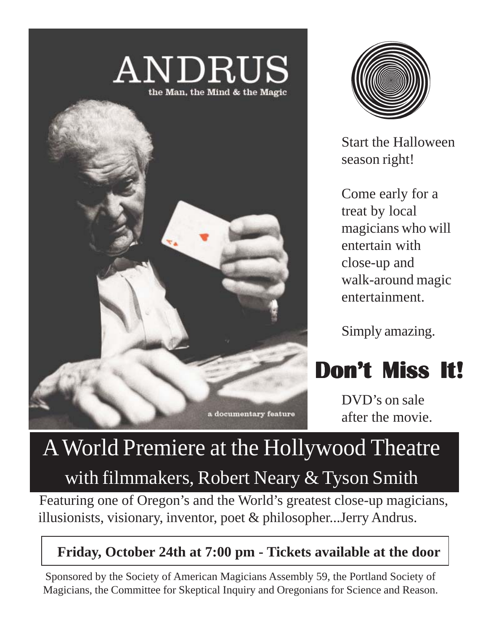# $\mathrm{ANDRUS} \ \mathrm{M}_{\scriptscriptstyle{\text{the Man. the Mind \& the Magic}}}$





Start the Halloween season right!

Come early for a treat by local magicians who will entertain with close-up and walk-around magic entertainment.

Simply amazing.



DVD's on sale after the movie.

## A World Premiere at the Hollywood Theatre with filmmakers, Robert Neary  $&$  Tyson Smith

 Featuring one of Oregon's and the World's greatest close-up magicians, illusionists, visionary, inventor, poet & philosopher...Jerry Andrus.

### **Friday, October 24th at 7:00 pm - Tickets available at the door**

Sponsored by the Society of American Magicians Assembly 59, the Portland Society of Magicians, the Committee for Skeptical Inquiry and Oregonians for Science and Reason.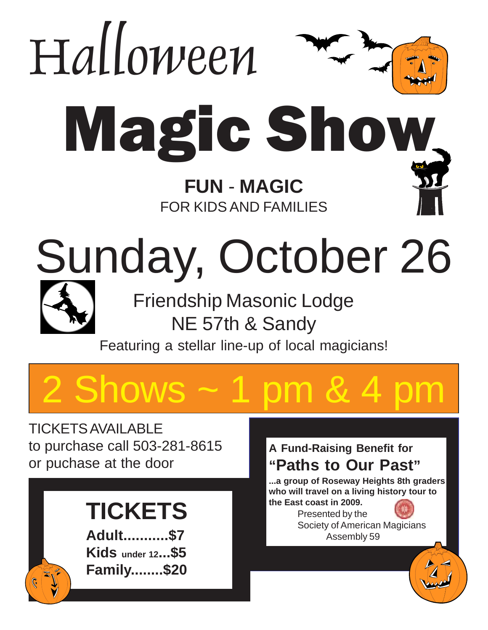

Featuring a stellar line-up of local magicians!

# **Shows**

TICKETS AVAILABLE to purchase call 503-281-8615 or puchase at the door

## **TICKETS**

**Adult...........\$7 Kids under 12...\$5 Family........\$20**

### **A Fund-Raising Benefit for "Paths to Our Past"**

**...a group of Roseway Heights 8th graders who will travel on a living history tour to the East coast in 2009.**

Presented by the Society of American Magicians Assembly 59